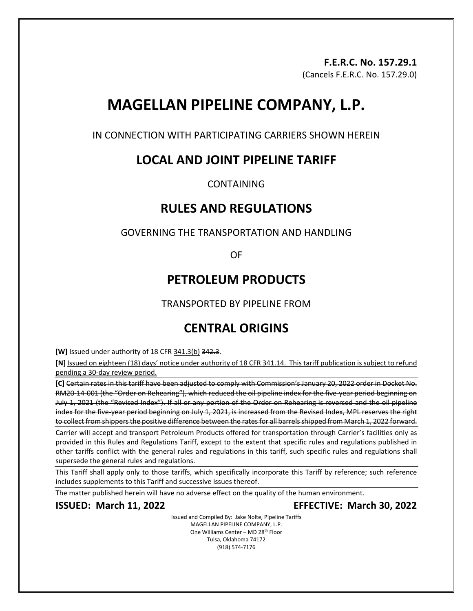# **F.E.R.C. No. 157.29.1**

(Cancels F.E.R.C. No. 157.29.0)

# **MAGELLAN PIPELINE COMPANY, L.P.**

IN CONNECTION WITH PARTICIPATING CARRIERS SHOWN HEREIN

## **LOCAL AND JOINT PIPELINE TARIFF**

CONTAINING

### **RULES AND REGULATIONS**

### GOVERNING THE TRANSPORTATION AND HANDLING

OF

## **PETROLEUM PRODUCTS**

TRANSPORTED BY PIPELINE FROM

# **CENTRAL ORIGINS**

**[W]** Issued under authority of 18 CFR 341.3(b) 342.3.

**[N]** Issued on eighteen (18) days' notice under authority of 18 CFR 341.14. This tariff publication is subject to refund pending a 30-day review period.

**[C]** Certain rates in this tariff have been adjusted to comply with Commission's January 20, 2022 order in Docket No. RM20-14-001 (the "Order on Rehearing"), which reduced the oil pipeline index for the five-year period beginning on July 1, 2021 (the "Revised Index"). If all or any portion of the Order on Rehearing is reversed and the oil pipeline index for the five-year period beginning on July 1, 2021, is increased from the Revised Index, MPL reserves the right to collect from shippers the positive difference between the rates for all barrels shipped from March 1, 2022 forward.

Carrier will accept and transport Petroleum Products offered for transportation through Carrier's facilities only as provided in this Rules and Regulations Tariff, except to the extent that specific rules and regulations published in other tariffs conflict with the general rules and regulations in this tariff, such specific rules and regulations shall supersede the general rules and regulations.

This Tariff shall apply only to those tariffs, which specifically incorporate this Tariff by reference; such reference includes supplements to this Tariff and successive issues thereof.

The matter published herein will have no adverse effect on the quality of the human environment.

**ISSUED: March 11, 2022 EFFECTIVE: March 30, 2022**

Issued and Compiled By: Jake Nolte, Pipeline Tariffs MAGELLAN PIPELINE COMPANY, L.P. One Williams Center - MD 28<sup>th</sup> Floor Tulsa, Oklahoma 74172 (918) 574-7176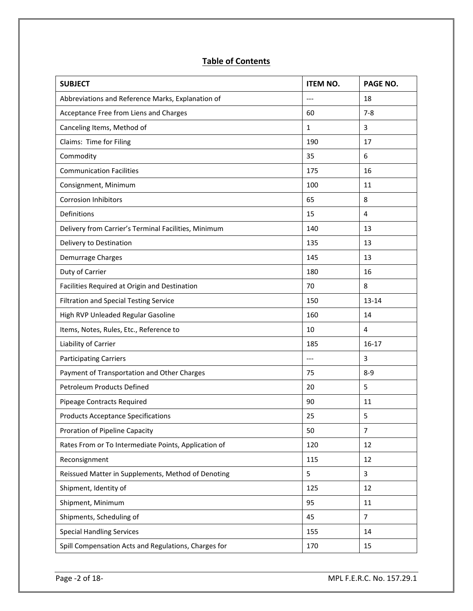### **Table of Contents**

| <b>SUBJECT</b>                                       | <b>ITEM NO.</b> | PAGE NO.       |
|------------------------------------------------------|-----------------|----------------|
| Abbreviations and Reference Marks, Explanation of    | ---             | 18             |
| Acceptance Free from Liens and Charges               | 60              | $7-8$          |
| Canceling Items, Method of                           | $\mathbf{1}$    | 3              |
| Claims: Time for Filing                              | 190             | 17             |
| Commodity                                            | 35              | 6              |
| <b>Communication Facilities</b>                      | 175             | 16             |
| Consignment, Minimum                                 | 100             | 11             |
| <b>Corrosion Inhibitors</b>                          | 65              | 8              |
| Definitions                                          | 15              | $\overline{4}$ |
| Delivery from Carrier's Terminal Facilities, Minimum | 140             | 13             |
| Delivery to Destination                              | 135             | 13             |
| Demurrage Charges                                    | 145             | 13             |
| Duty of Carrier                                      | 180             | 16             |
| Facilities Required at Origin and Destination        | 70              | 8              |
| <b>Filtration and Special Testing Service</b>        | 150             | 13-14          |
| High RVP Unleaded Regular Gasoline                   | 160             | 14             |
| Items, Notes, Rules, Etc., Reference to              | 10              | 4              |
| Liability of Carrier                                 | 185             | $16 - 17$      |
| <b>Participating Carriers</b>                        | $---$           | 3              |
| Payment of Transportation and Other Charges          | 75              | $8-9$          |
| <b>Petroleum Products Defined</b>                    | 20              | 5              |
| Pipeage Contracts Required                           | 90              | 11             |
| <b>Products Acceptance Specifications</b>            | 25              | 5              |
| Proration of Pipeline Capacity                       | 50              | $\overline{7}$ |
| Rates From or To Intermediate Points, Application of | 120             | 12             |
| Reconsignment                                        | 115             | 12             |
| Reissued Matter in Supplements, Method of Denoting   | 5               | 3              |
| Shipment, Identity of                                | 125             | 12             |
| Shipment, Minimum                                    | 95              | 11             |
| Shipments, Scheduling of                             | 45              | $\overline{7}$ |
| <b>Special Handling Services</b>                     | 155             | 14             |
| Spill Compensation Acts and Regulations, Charges for | 170             | 15             |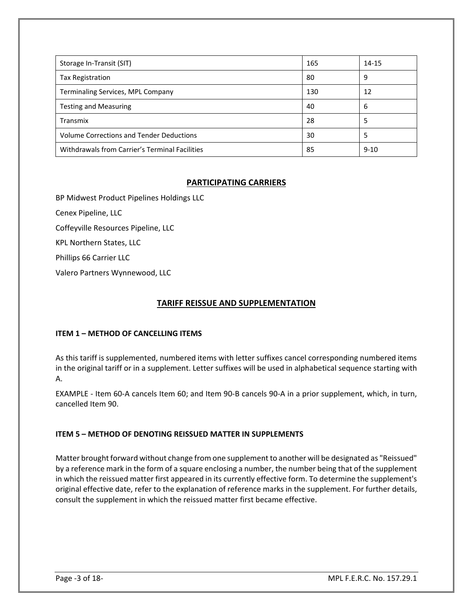| Storage In-Transit (SIT)                        | 165 | 14-15    |
|-------------------------------------------------|-----|----------|
| <b>Tax Registration</b>                         | 80  | 9        |
| Terminaling Services, MPL Company               | 130 | 12       |
| <b>Testing and Measuring</b>                    | 40  | 6        |
| Transmix                                        | 28  | 5        |
| <b>Volume Corrections and Tender Deductions</b> | 30  | 5        |
| Withdrawals from Carrier's Terminal Facilities  | 85  | $9 - 10$ |

#### **PARTICIPATING CARRIERS**

BP Midwest Product Pipelines Holdings LLC

Cenex Pipeline, LLC

Coffeyville Resources Pipeline, LLC

KPL Northern States, LLC

Phillips 66 Carrier LLC

Valero Partners Wynnewood, LLC

#### **TARIFF REISSUE AND SUPPLEMENTATION**

#### **ITEM 1 – METHOD OF CANCELLING ITEMS**

As this tariff is supplemented, numbered items with letter suffixes cancel corresponding numbered items in the original tariff or in a supplement. Letter suffixes will be used in alphabetical sequence starting with A.

EXAMPLE - Item 60-A cancels Item 60; and Item 90-B cancels 90-A in a prior supplement, which, in turn, cancelled Item 90.

#### **ITEM 5 – METHOD OF DENOTING REISSUED MATTER IN SUPPLEMENTS**

Matter brought forward without change from one supplement to another will be designated as "Reissued" by a reference mark in the form of a square enclosing a number, the number being that of the supplement in which the reissued matter first appeared in its currently effective form. To determine the supplement's original effective date, refer to the explanation of reference marks in the supplement. For further details, consult the supplement in which the reissued matter first became effective.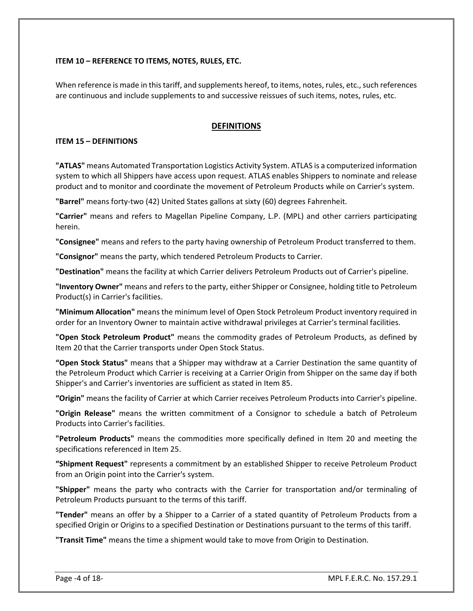#### **ITEM 10 – REFERENCE TO ITEMS, NOTES, RULES, ETC.**

When reference is made in this tariff, and supplements hereof, to items, notes, rules, etc., such references are continuous and include supplements to and successive reissues of such items, notes, rules, etc.

#### **DEFINITIONS**

#### **ITEM 15 – DEFINITIONS**

**"ATLAS"** means Automated Transportation Logistics Activity System. ATLAS is a computerized information system to which all Shippers have access upon request. ATLAS enables Shippers to nominate and release product and to monitor and coordinate the movement of Petroleum Products while on Carrier's system.

**"Barrel"** means forty-two (42) United States gallons at sixty (60) degrees Fahrenheit.

**"Carrier"** means and refers to Magellan Pipeline Company, L.P. (MPL) and other carriers participating herein.

**"Consignee"** means and refers to the party having ownership of Petroleum Product transferred to them.

**"Consignor"** means the party, which tendered Petroleum Products to Carrier.

**"Destination"** means the facility at which Carrier delivers Petroleum Products out of Carrier's pipeline.

**"Inventory Owner"** means and refers to the party, either Shipper or Consignee, holding title to Petroleum Product(s) in Carrier's facilities.

**"Minimum Allocation"** means the minimum level of Open Stock Petroleum Product inventory required in order for an Inventory Owner to maintain active withdrawal privileges at Carrier's terminal facilities.

**"Open Stock Petroleum Product"** means the commodity grades of Petroleum Products, as defined by Item 20 that the Carrier transports under Open Stock Status.

**"Open Stock Status"** means that a Shipper may withdraw at a Carrier Destination the same quantity of the Petroleum Product which Carrier is receiving at a Carrier Origin from Shipper on the same day if both Shipper's and Carrier's inventories are sufficient as stated in Item 85.

**"Origin"** means the facility of Carrier at which Carrier receives Petroleum Products into Carrier's pipeline.

**"Origin Release"** means the written commitment of a Consignor to schedule a batch of Petroleum Products into Carrier's facilities.

**"Petroleum Products"** means the commodities more specifically defined in Item 20 and meeting the specifications referenced in Item 25.

**"Shipment Request"** represents a commitment by an established Shipper to receive Petroleum Product from an Origin point into the Carrier's system.

**"Shipper"** means the party who contracts with the Carrier for transportation and/or terminaling of Petroleum Products pursuant to the terms of this tariff.

**"Tender"** means an offer by a Shipper to a Carrier of a stated quantity of Petroleum Products from a specified Origin or Origins to a specified Destination or Destinations pursuant to the terms of this tariff.

**"Transit Time"** means the time a shipment would take to move from Origin to Destination.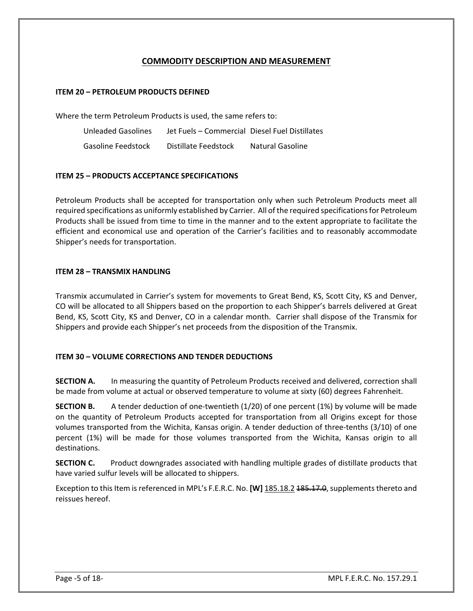### **COMMODITY DESCRIPTION AND MEASUREMENT**

#### **ITEM 20 – PETROLEUM PRODUCTS DEFINED**

Where the term Petroleum Products is used, the same refers to:

Unleaded Gasolines Jet Fuels – Commercial Diesel Fuel Distillates Gasoline Feedstock Distillate Feedstock Natural Gasoline

#### **ITEM 25 – PRODUCTS ACCEPTANCE SPECIFICATIONS**

Petroleum Products shall be accepted for transportation only when such Petroleum Products meet all required specifications as uniformly established by Carrier. All of the required specifications for Petroleum Products shall be issued from time to time in the manner and to the extent appropriate to facilitate the efficient and economical use and operation of the Carrier's facilities and to reasonably accommodate Shipper's needs for transportation.

#### **ITEM 28 – TRANSMIX HANDLING**

Transmix accumulated in Carrier's system for movements to Great Bend, KS, Scott City, KS and Denver, CO will be allocated to all Shippers based on the proportion to each Shipper's barrels delivered at Great Bend, KS, Scott City, KS and Denver, CO in a calendar month. Carrier shall dispose of the Transmix for Shippers and provide each Shipper's net proceeds from the disposition of the Transmix.

#### **ITEM 30 – VOLUME CORRECTIONS AND TENDER DEDUCTIONS**

**SECTION A.** In measuring the quantity of Petroleum Products received and delivered, correction shall be made from volume at actual or observed temperature to volume at sixty (60) degrees Fahrenheit.

**SECTION B.** A tender deduction of one-twentieth (1/20) of one percent (1%) by volume will be made on the quantity of Petroleum Products accepted for transportation from all Origins except for those volumes transported from the Wichita, Kansas origin. A tender deduction of three-tenths (3/10) of one percent (1%) will be made for those volumes transported from the Wichita, Kansas origin to all destinations.

**SECTION C.** Product downgrades associated with handling multiple grades of distillate products that have varied sulfur levels will be allocated to shippers.

Exception to this Item is referenced in MPL's F.E.R.C. No. **[W]** 185.18.2 185.17.0, supplements thereto and reissues hereof.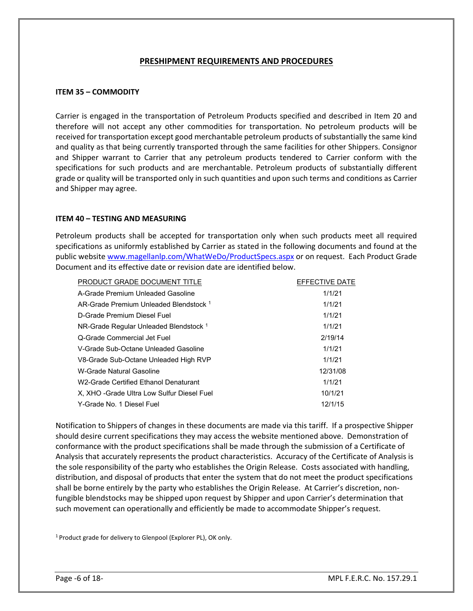#### **PRESHIPMENT REQUIREMENTS AND PROCEDURES**

#### **ITEM 35 – COMMODITY**

Carrier is engaged in the transportation of Petroleum Products specified and described in Item 20 and therefore will not accept any other commodities for transportation. No petroleum products will be received for transportation except good merchantable petroleum products of substantially the same kind and quality as that being currently transported through the same facilities for other Shippers. Consignor and Shipper warrant to Carrier that any petroleum products tendered to Carrier conform with the specifications for such products and are merchantable. Petroleum products of substantially different grade or quality will be transported only in such quantities and upon such terms and conditions as Carrier and Shipper may agree.

#### **ITEM 40 – TESTING AND MEASURING**

Petroleum products shall be accepted for transportation only when such products meet all required specifications as uniformly established by Carrier as stated in the following documents and found at the public website [www.magellanlp.com/WhatWeDo/ProductSpecs.aspx](http://www.magellanlp.com/WhatWeDo/ProductSpecs.asp) or on request. Each Product Grade Document and its effective date or revision date are identified below.

| PRODUCT GRADE DOCUMENT TITLE                      | EFFECTIVE DATE |
|---------------------------------------------------|----------------|
| A-Grade Premium Unleaded Gasoline                 | 1/1/21         |
| AR-Grade Premium Unleaded Blendstock 1            | 1/1/21         |
| D-Grade Premium Diesel Fuel                       | 1/1/21         |
| NR-Grade Regular Unleaded Blendstock <sup>1</sup> | 1/1/21         |
| Q-Grade Commercial Jet Fuel                       | 2/19/14        |
| V-Grade Sub-Octane Unleaded Gasoline              | 1/1/21         |
| V8-Grade Sub-Octane Unleaded High RVP             | 1/1/21         |
| W-Grade Natural Gasoline                          | 12/31/08       |
| W2-Grade Certified Fthanol Denaturant             | 1/1/21         |
| X, XHO - Grade Ultra Low Sulfur Diesel Fuel       | 10/1/21        |
| Y-Grade No. 1 Diesel Fuel                         | 12/1/15        |

Notification to Shippers of changes in these documents are made via this tariff. If a prospective Shipper should desire current specifications they may access the website mentioned above. Demonstration of conformance with the product specifications shall be made through the submission of a Certificate of Analysis that accurately represents the product characteristics. Accuracy of the Certificate of Analysis is the sole responsibility of the party who establishes the Origin Release. Costs associated with handling, distribution, and disposal of products that enter the system that do not meet the product specifications shall be borne entirely by the party who establishes the Origin Release.At Carrier's discretion, nonfungible blendstocks may be shipped upon request by Shipper and upon Carrier's determination that such movement can operationally and efficiently be made to accommodate Shipper's request.

<sup>1</sup> Product grade for delivery to Glenpool (Explorer PL), OK only.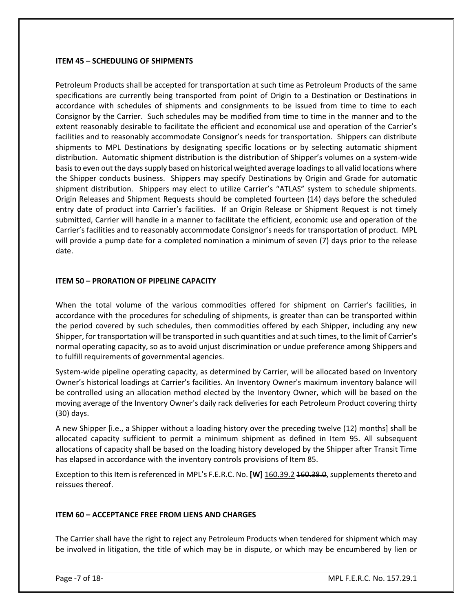#### **ITEM 45 – SCHEDULING OF SHIPMENTS**

Petroleum Products shall be accepted for transportation at such time as Petroleum Products of the same specifications are currently being transported from point of Origin to a Destination or Destinations in accordance with schedules of shipments and consignments to be issued from time to time to each Consignor by the Carrier. Such schedules may be modified from time to time in the manner and to the extent reasonably desirable to facilitate the efficient and economical use and operation of the Carrier's facilities and to reasonably accommodate Consignor's needs for transportation. Shippers can distribute shipments to MPL Destinations by designating specific locations or by selecting automatic shipment distribution. Automatic shipment distribution is the distribution of Shipper's volumes on a system-wide basis to even out the days supply based on historical weighted average loadings to all valid locations where the Shipper conducts business. Shippers may specify Destinations by Origin and Grade for automatic shipment distribution. Shippers may elect to utilize Carrier's "ATLAS" system to schedule shipments. Origin Releases and Shipment Requests should be completed fourteen (14) days before the scheduled entry date of product into Carrier's facilities. If an Origin Release or Shipment Request is not timely submitted, Carrier will handle in a manner to facilitate the efficient, economic use and operation of the Carrier's facilities and to reasonably accommodate Consignor's needs for transportation of product. MPL will provide a pump date for a completed nomination a minimum of seven (7) days prior to the release date.

#### **ITEM 50 – PRORATION OF PIPELINE CAPACITY**

When the total volume of the various commodities offered for shipment on Carrier's facilities, in accordance with the procedures for scheduling of shipments, is greater than can be transported within the period covered by such schedules, then commodities offered by each Shipper, including any new Shipper, for transportation will be transported in such quantities and at such times, to the limit of Carrier's normal operating capacity, so as to avoid unjust discrimination or undue preference among Shippers and to fulfill requirements of governmental agencies.

System-wide pipeline operating capacity, as determined by Carrier, will be allocated based on Inventory Owner's historical loadings at Carrier's facilities. An Inventory Owner's maximum inventory balance will be controlled using an allocation method elected by the Inventory Owner, which will be based on the moving average of the Inventory Owner's daily rack deliveries for each Petroleum Product covering thirty (30) days.

A new Shipper [i.e., a Shipper without a loading history over the preceding twelve (12) months] shall be allocated capacity sufficient to permit a minimum shipment as defined in Item 95. All subsequent allocations of capacity shall be based on the loading history developed by the Shipper after Transit Time has elapsed in accordance with the inventory controls provisions of Item 85.

Exception to this Item is referenced in MPL's F.E.R.C. No. **[W]** 160.39.2 160.38.0, supplements thereto and reissues thereof.

#### **ITEM 60 – ACCEPTANCE FREE FROM LIENS AND CHARGES**

The Carrier shall have the right to reject any Petroleum Products when tendered for shipment which may be involved in litigation, the title of which may be in dispute, or which may be encumbered by lien or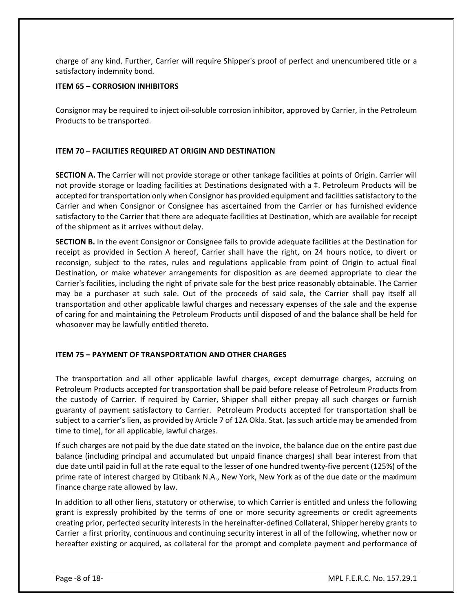charge of any kind. Further, Carrier will require Shipper's proof of perfect and unencumbered title or a satisfactory indemnity bond.

#### **ITEM 65 – CORROSION INHIBITORS**

Consignor may be required to inject oil-soluble corrosion inhibitor, approved by Carrier, in the Petroleum Products to be transported.

#### **ITEM 70 – FACILITIES REQUIRED AT ORIGIN AND DESTINATION**

**SECTION A.** The Carrier will not provide storage or other tankage facilities at points of Origin. Carrier will not provide storage or loading facilities at Destinations designated with a ‡. Petroleum Products will be accepted for transportation only when Consignor has provided equipment and facilities satisfactory to the Carrier and when Consignor or Consignee has ascertained from the Carrier or has furnished evidence satisfactory to the Carrier that there are adequate facilities at Destination, which are available for receipt of the shipment as it arrives without delay.

**SECTION B.** In the event Consignor or Consignee fails to provide adequate facilities at the Destination for receipt as provided in Section A hereof, Carrier shall have the right, on 24 hours notice, to divert or reconsign, subject to the rates, rules and regulations applicable from point of Origin to actual final Destination, or make whatever arrangements for disposition as are deemed appropriate to clear the Carrier's facilities, including the right of private sale for the best price reasonably obtainable. The Carrier may be a purchaser at such sale. Out of the proceeds of said sale, the Carrier shall pay itself all transportation and other applicable lawful charges and necessary expenses of the sale and the expense of caring for and maintaining the Petroleum Products until disposed of and the balance shall be held for whosoever may be lawfully entitled thereto.

#### **ITEM 75 – PAYMENT OF TRANSPORTATION AND OTHER CHARGES**

The transportation and all other applicable lawful charges, except demurrage charges, accruing on Petroleum Products accepted for transportation shall be paid before release of Petroleum Products from the custody of Carrier. If required by Carrier, Shipper shall either prepay all such charges or furnish guaranty of payment satisfactory to Carrier. Petroleum Products accepted for transportation shall be subject to a carrier's lien, as provided by Article 7 of 12A Okla. Stat. (as such article may be amended from time to time), for all applicable, lawful charges.

If such charges are not paid by the due date stated on the invoice, the balance due on the entire past due balance (including principal and accumulated but unpaid finance charges) shall bear interest from that due date until paid in full at the rate equal to the lesser of one hundred twenty-five percent (125%) of the prime rate of interest charged by Citibank N.A., New York, New York as of the due date or the maximum finance charge rate allowed by law.

In addition to all other liens, statutory or otherwise, to which Carrier is entitled and unless the following grant is expressly prohibited by the terms of one or more security agreements or credit agreements creating prior, perfected security interests in the hereinafter-defined Collateral, Shipper hereby grants to Carrier a first priority, continuous and continuing security interest in all of the following, whether now or hereafter existing or acquired, as collateral for the prompt and complete payment and performance of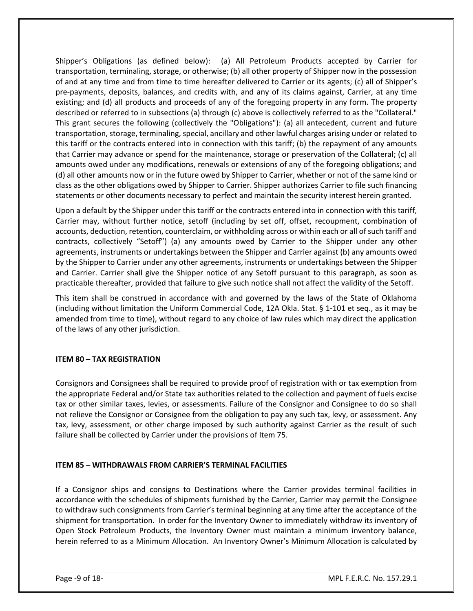Shipper's Obligations (as defined below): (a) All Petroleum Products accepted by Carrier for transportation, terminaling, storage, or otherwise; (b) all other property of Shipper now in the possession of and at any time and from time to time hereafter delivered to Carrier or its agents; (c) all of Shipper's pre-payments, deposits, balances, and credits with, and any of its claims against, Carrier, at any time existing; and (d) all products and proceeds of any of the foregoing property in any form. The property described or referred to in subsections (a) through (c) above is collectively referred to as the "Collateral." This grant secures the following (collectively the "Obligations"): (a) all antecedent, current and future transportation, storage, terminaling, special, ancillary and other lawful charges arising under or related to this tariff or the contracts entered into in connection with this tariff; (b) the repayment of any amounts that Carrier may advance or spend for the maintenance, storage or preservation of the Collateral; (c) all amounts owed under any modifications, renewals or extensions of any of the foregoing obligations; and (d) all other amounts now or in the future owed by Shipper to Carrier, whether or not of the same kind or class as the other obligations owed by Shipper to Carrier. Shipper authorizes Carrier to file such financing statements or other documents necessary to perfect and maintain the security interest herein granted.

Upon a default by the Shipper under this tariff or the contracts entered into in connection with this tariff, Carrier may, without further notice, setoff (including by set off, offset, recoupment, combination of accounts, deduction, retention, counterclaim, or withholding across or within each or all of such tariff and contracts, collectively "Setoff") (a) any amounts owed by Carrier to the Shipper under any other agreements, instruments or undertakings between the Shipper and Carrier against (b) any amounts owed by the Shipper to Carrier under any other agreements, instruments or undertakings between the Shipper and Carrier. Carrier shall give the Shipper notice of any Setoff pursuant to this paragraph, as soon as practicable thereafter, provided that failure to give such notice shall not affect the validity of the Setoff.

This item shall be construed in accordance with and governed by the laws of the State of Oklahoma (including without limitation the Uniform Commercial Code, 12A Okla. Stat. § 1-101 et seq., as it may be amended from time to time), without regard to any choice of law rules which may direct the application of the laws of any other jurisdiction.

#### **ITEM 80 – TAX REGISTRATION**

Consignors and Consignees shall be required to provide proof of registration with or tax exemption from the appropriate Federal and/or State tax authorities related to the collection and payment of fuels excise tax or other similar taxes, levies, or assessments. Failure of the Consignor and Consignee to do so shall not relieve the Consignor or Consignee from the obligation to pay any such tax, levy, or assessment. Any tax, levy, assessment, or other charge imposed by such authority against Carrier as the result of such failure shall be collected by Carrier under the provisions of Item 75.

#### **ITEM 85 – WITHDRAWALS FROM CARRIER'S TERMINAL FACILITIES**

If a Consignor ships and consigns to Destinations where the Carrier provides terminal facilities in accordance with the schedules of shipments furnished by the Carrier, Carrier may permit the Consignee to withdraw such consignments from Carrier's terminal beginning at any time after the acceptance of the shipment for transportation. In order for the Inventory Owner to immediately withdraw its inventory of Open Stock Petroleum Products, the Inventory Owner must maintain a minimum inventory balance, herein referred to as a Minimum Allocation. An Inventory Owner's Minimum Allocation is calculated by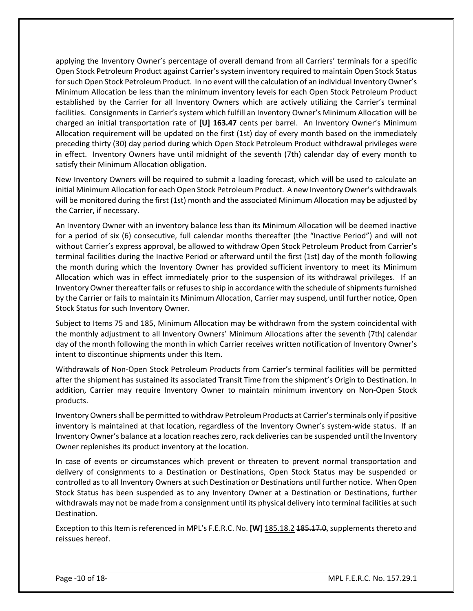applying the Inventory Owner's percentage of overall demand from all Carriers' terminals for a specific Open Stock Petroleum Product against Carrier's system inventory required to maintain Open Stock Status for such Open Stock Petroleum Product. In no event will the calculation of an individual Inventory Owner's Minimum Allocation be less than the minimum inventory levels for each Open Stock Petroleum Product established by the Carrier for all Inventory Owners which are actively utilizing the Carrier's terminal facilities. Consignments in Carrier's system which fulfill an Inventory Owner's Minimum Allocation will be charged an initial transportation rate of **[U] 163.47** cents per barrel. An Inventory Owner's Minimum Allocation requirement will be updated on the first (1st) day of every month based on the immediately preceding thirty (30) day period during which Open Stock Petroleum Product withdrawal privileges were in effect. Inventory Owners have until midnight of the seventh (7th) calendar day of every month to satisfy their Minimum Allocation obligation.

New Inventory Owners will be required to submit a loading forecast, which will be used to calculate an initial Minimum Allocation for each Open Stock Petroleum Product. A new Inventory Owner's withdrawals will be monitored during the first (1st) month and the associated Minimum Allocation may be adjusted by the Carrier, if necessary.

An Inventory Owner with an inventory balance less than its Minimum Allocation will be deemed inactive for a period of six (6) consecutive, full calendar months thereafter (the "Inactive Period") and will not without Carrier's express approval, be allowed to withdraw Open Stock Petroleum Product from Carrier's terminal facilities during the Inactive Period or afterward until the first (1st) day of the month following the month during which the Inventory Owner has provided sufficient inventory to meet its Minimum Allocation which was in effect immediately prior to the suspension of its withdrawal privileges. If an Inventory Owner thereafter fails or refuses to ship in accordance with the schedule of shipments furnished by the Carrier or fails to maintain its Minimum Allocation, Carrier may suspend, until further notice, Open Stock Status for such Inventory Owner.

Subject to Items 75 and 185, Minimum Allocation may be withdrawn from the system coincidental with the monthly adjustment to all Inventory Owners' Minimum Allocations after the seventh (7th) calendar day of the month following the month in which Carrier receives written notification of Inventory Owner's intent to discontinue shipments under this Item.

Withdrawals of Non-Open Stock Petroleum Products from Carrier's terminal facilities will be permitted after the shipment has sustained its associated Transit Time from the shipment's Origin to Destination. In addition, Carrier may require Inventory Owner to maintain minimum inventory on Non-Open Stock products.

Inventory Owners shall be permitted to withdraw Petroleum Products at Carrier's terminals only if positive inventory is maintained at that location, regardless of the Inventory Owner's system-wide status. If an Inventory Owner's balance at a location reaches zero, rack deliveries can be suspended until the Inventory Owner replenishes its product inventory at the location.

In case of events or circumstances which prevent or threaten to prevent normal transportation and delivery of consignments to a Destination or Destinations, Open Stock Status may be suspended or controlled as to all Inventory Owners at such Destination or Destinations until further notice. When Open Stock Status has been suspended as to any Inventory Owner at a Destination or Destinations, further withdrawals may not be made from a consignment until its physical delivery into terminal facilities at such Destination.

Exception to this Item is referenced in MPL's F.E.R.C. No. **[W]** 185.18.2 185.17.0, supplements thereto and reissues hereof.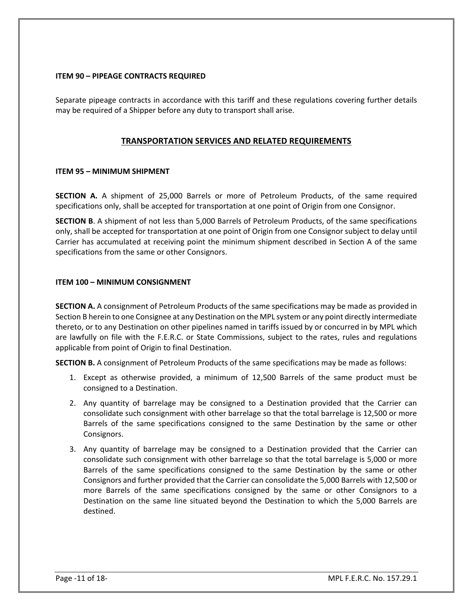#### **ITEM 90 – PIPEAGE CONTRACTS REQUIRED**

Separate pipeage contracts in accordance with this tariff and these regulations covering further details may be required of a Shipper before any duty to transport shall arise.

#### **TRANSPORTATION SERVICES AND RELATED REQUIREMENTS**

#### **ITEM 95 – MINIMUM SHIPMENT**

**SECTION A.** A shipment of 25,000 Barrels or more of Petroleum Products, of the same required specifications only, shall be accepted for transportation at one point of Origin from one Consignor.

**SECTION B**. A shipment of not less than 5,000 Barrels of Petroleum Products, of the same specifications only, shall be accepted for transportation at one point of Origin from one Consignor subject to delay until Carrier has accumulated at receiving point the minimum shipment described in Section A of the same specifications from the same or other Consignors.

#### **ITEM 100 – MINIMUM CONSIGNMENT**

**SECTION A.** A consignment of Petroleum Products of the same specifications may be made as provided in Section B herein to one Consignee at any Destination on the MPL system or any point directly intermediate thereto, or to any Destination on other pipelines named in tariffs issued by or concurred in by MPL which are lawfully on file with the F.E.R.C. or State Commissions, subject to the rates, rules and regulations applicable from point of Origin to final Destination.

**SECTION B.** A consignment of Petroleum Products of the same specifications may be made as follows:

- 1. Except as otherwise provided, a minimum of 12,500 Barrels of the same product must be consigned to a Destination.
- 2. Any quantity of barrelage may be consigned to a Destination provided that the Carrier can consolidate such consignment with other barrelage so that the total barrelage is 12,500 or more Barrels of the same specifications consigned to the same Destination by the same or other Consignors.
- 3. Any quantity of barrelage may be consigned to a Destination provided that the Carrier can consolidate such consignment with other barrelage so that the total barrelage is 5,000 or more Barrels of the same specifications consigned to the same Destination by the same or other Consignors and further provided that the Carrier can consolidate the 5,000 Barrels with 12,500 or more Barrels of the same specifications consigned by the same or other Consignors to a Destination on the same line situated beyond the Destination to which the 5,000 Barrels are destined.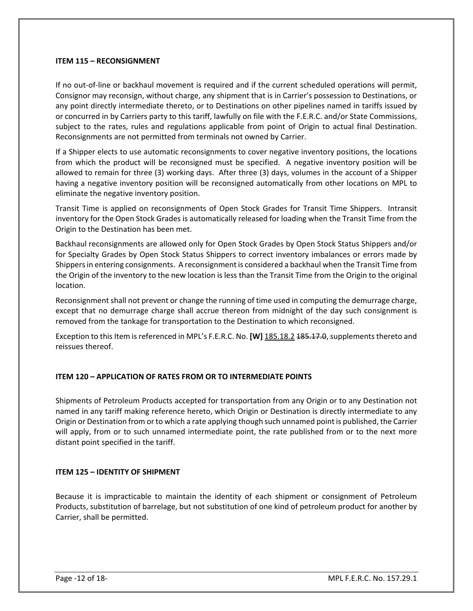#### **ITEM 115 – RECONSIGNMENT**

If no out-of-line or backhaul movement is required and if the current scheduled operations will permit, Consignor may reconsign, without charge, any shipment that is in Carrier's possession to Destinations, or any point directly intermediate thereto, or to Destinations on other pipelines named in tariffs issued by or concurred in by Carriers party to this tariff, lawfully on file with the F.E.R.C. and/or State Commissions, subject to the rates, rules and regulations applicable from point of Origin to actual final Destination. Reconsignments are not permitted from terminals not owned by Carrier.

If a Shipper elects to use automatic reconsignments to cover negative inventory positions, the locations from which the product will be reconsigned must be specified. A negative inventory position will be allowed to remain for three (3) working days. After three (3) days, volumes in the account of a Shipper having a negative inventory position will be reconsigned automatically from other locations on MPL to eliminate the negative inventory position.

Transit Time is applied on reconsignments of Open Stock Grades for Transit Time Shippers. Intransit inventory for the Open Stock Grades is automatically released for loading when the Transit Time from the Origin to the Destination has been met.

Backhaul reconsignments are allowed only for Open Stock Grades by Open Stock Status Shippers and/or for Specialty Grades by Open Stock Status Shippers to correct inventory imbalances or errors made by Shippers in entering consignments. A reconsignment is considered a backhaul when the Transit Time from the Origin of the inventory to the new location is less than the Transit Time from the Origin to the original location.

Reconsignment shall not prevent or change the running of time used in computing the demurrage charge, except that no demurrage charge shall accrue thereon from midnight of the day such consignment is removed from the tankage for transportation to the Destination to which reconsigned.

Exception to this Item is referenced in MPL's F.E.R.C. No. **[W]** 185.18.2 185.17.0, supplements thereto and reissues thereof.

#### **ITEM 120 – APPLICATION OF RATES FROM OR TO INTERMEDIATE POINTS**

Shipments of Petroleum Products accepted for transportation from any Origin or to any Destination not named in any tariff making reference hereto, which Origin or Destination is directly intermediate to any Origin or Destination from or to which a rate applying though such unnamed point is published, the Carrier will apply, from or to such unnamed intermediate point, the rate published from or to the next more distant point specified in the tariff.

#### **ITEM 125 – IDENTITY OF SHIPMENT**

Because it is impracticable to maintain the identity of each shipment or consignment of Petroleum Products, substitution of barrelage, but not substitution of one kind of petroleum product for another by Carrier, shall be permitted.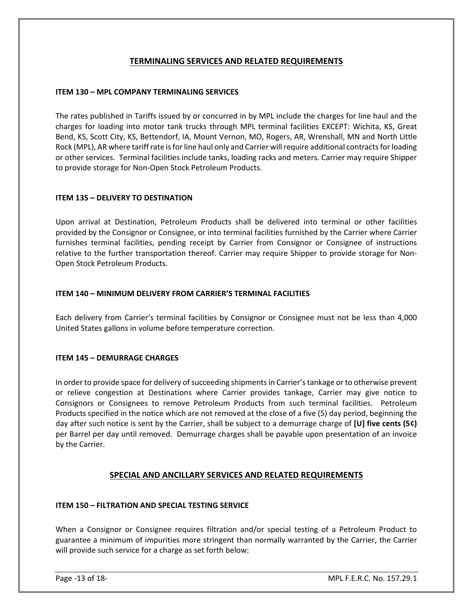### **TERMINALING SERVICES AND RELATED REQUIREMENTS**

#### **ITEM 130 – MPL COMPANY TERMINALING SERVICES**

The rates published in Tariffs issued by or concurred in by MPL include the charges for line haul and the charges for loading into motor tank trucks through MPL terminal facilities EXCEPT: Wichita, KS, Great Bend, KS, Scott City, KS, Bettendorf, IA, Mount Vernon, MO, Rogers, AR, Wrenshall, MN and North Little Rock (MPL), AR where tariff rate is for line haul only and Carrier will require additional contracts for loading or other services. Terminal facilities include tanks, loading racks and meters. Carrier may require Shipper to provide storage for Non-Open Stock Petroleum Products.

#### **ITEM 135 – DELIVERY TO DESTINATION**

Upon arrival at Destination, Petroleum Products shall be delivered into terminal or other facilities provided by the Consignor or Consignee, or into terminal facilities furnished by the Carrier where Carrier furnishes terminal facilities, pending receipt by Carrier from Consignor or Consignee of instructions relative to the further transportation thereof. Carrier may require Shipper to provide storage for Non-Open Stock Petroleum Products.

#### **ITEM 140 – MINIMUM DELIVERY FROM CARRIER'S TERMINAL FACILITIES**

Each delivery from Carrier's terminal facilities by Consignor or Consignee must not be less than 4,000 United States gallons in volume before temperature correction.

#### **ITEM 145 – DEMURRAGE CHARGES**

In order to provide space for delivery of succeeding shipments in Carrier's tankage or to otherwise prevent or relieve congestion at Destinations where Carrier provides tankage, Carrier may give notice to Consignors or Consignees to remove Petroleum Products from such terminal facilities. Petroleum Products specified in the notice which are not removed at the close of a five (5) day period, beginning the day after such notice is sent by the Carrier, shall be subject to a demurrage charge of **[U] five cents (5¢)** per Barrel per day until removed. Demurrage charges shall be payable upon presentation of an invoice by the Carrier.

#### **SPECIAL AND ANCILLARY SERVICES AND RELATED REQUIREMENTS**

#### **ITEM 150 – FILTRATION AND SPECIAL TESTING SERVICE**

When a Consignor or Consignee requires filtration and/or special testing of a Petroleum Product to guarantee a minimum of impurities more stringent than normally warranted by the Carrier, the Carrier will provide such service for a charge as set forth below: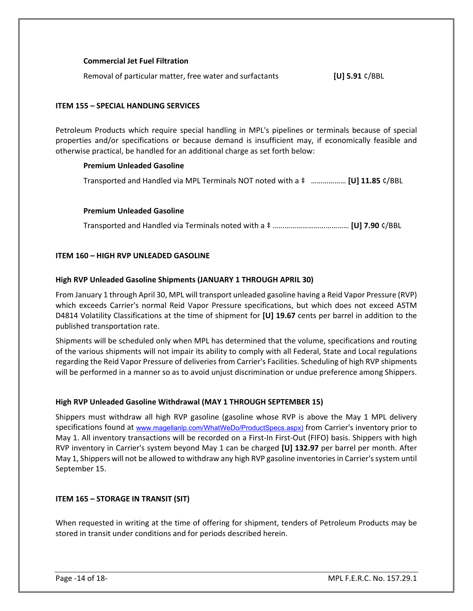#### **Commercial Jet Fuel Filtration**

Removal of particular matter, free water and surfactants **[U] 5.91** ¢/BBL

#### **ITEM 155 – SPECIAL HANDLING SERVICES**

Petroleum Products which require special handling in MPL's pipelines or terminals because of special properties and/or specifications or because demand is insufficient may, if economically feasible and otherwise practical, be handled for an additional charge as set forth below:

#### **Premium Unleaded Gasoline**

Transported and Handled via MPL Terminals NOT noted with a ‡ ……………… **[U] 11.85** ¢/BBL

#### **Premium Unleaded Gasoline**

Transported and Handled via Terminals noted with a ‡ ………………………………… **[U] 7.90** ¢/BBL

#### **ITEM 160 – HIGH RVP UNLEADED GASOLINE**

#### **High RVP Unleaded Gasoline Shipments (JANUARY 1 THROUGH APRIL 30)**

From January 1 through April 30, MPL will transport unleaded gasoline having a Reid Vapor Pressure (RVP) which exceeds Carrier's normal Reid Vapor Pressure specifications, but which does not exceed ASTM D4814 Volatility Classifications at the time of shipment for **[U] 19.67** cents per barrel in addition to the published transportation rate.

Shipments will be scheduled only when MPL has determined that the volume, specifications and routing of the various shipments will not impair its ability to comply with all Federal, State and Local regulations regarding the Reid Vapor Pressure of deliveries from Carrier's Facilities. Scheduling of high RVP shipments will be performed in a manner so as to avoid unjust discrimination or undue preference among Shippers.

#### **High RVP Unleaded Gasoline Withdrawal (MAY 1 THROUGH SEPTEMBER 15)**

Shippers must withdraw all high RVP gasoline (gasoline whose RVP is above the May 1 MPL delivery specifications found at [www.magellanlp.com/WhatWeDo/ProductSpecs.aspx](http://www.magellanlp.com/WhatWeDo/ProductSpecs.asp)) from Carrier's inventory prior to May 1. All inventory transactions will be recorded on a First-In First-Out (FIFO) basis. Shippers with high RVP inventory in Carrier's system beyond May 1 can be charged **[U] 132.97** per barrel per month. After May 1, Shippers will not be allowed to withdraw any high RVP gasoline inventories in Carrier's system until September 15.

#### **ITEM 165 – STORAGE IN TRANSIT (SIT)**

When requested in writing at the time of offering for shipment, tenders of Petroleum Products may be stored in transit under conditions and for periods described herein.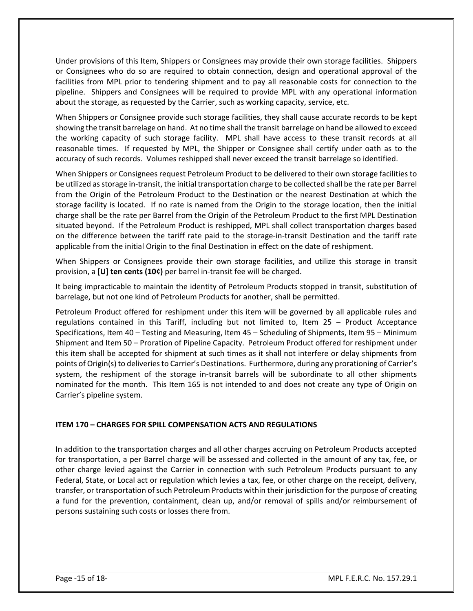Under provisions of this Item, Shippers or Consignees may provide their own storage facilities. Shippers or Consignees who do so are required to obtain connection, design and operational approval of the facilities from MPL prior to tendering shipment and to pay all reasonable costs for connection to the pipeline. Shippers and Consignees will be required to provide MPL with any operational information about the storage, as requested by the Carrier, such as working capacity, service, etc.

When Shippers or Consignee provide such storage facilities, they shall cause accurate records to be kept showing the transit barrelage on hand. At no time shall the transit barrelage on hand be allowed to exceed the working capacity of such storage facility. MPL shall have access to these transit records at all reasonable times. If requested by MPL, the Shipper or Consignee shall certify under oath as to the accuracy of such records. Volumes reshipped shall never exceed the transit barrelage so identified.

When Shippers or Consignees request Petroleum Product to be delivered to their own storage facilities to be utilized as storage in-transit, the initial transportation charge to be collected shall be the rate per Barrel from the Origin of the Petroleum Product to the Destination or the nearest Destination at which the storage facility is located. If no rate is named from the Origin to the storage location, then the initial charge shall be the rate per Barrel from the Origin of the Petroleum Product to the first MPL Destination situated beyond. If the Petroleum Product is reshipped, MPL shall collect transportation charges based on the difference between the tariff rate paid to the storage-in-transit Destination and the tariff rate applicable from the initial Origin to the final Destination in effect on the date of reshipment.

When Shippers or Consignees provide their own storage facilities, and utilize this storage in transit provision, a **[U] ten cents (10¢)** per barrel in-transit fee will be charged.

It being impracticable to maintain the identity of Petroleum Products stopped in transit, substitution of barrelage, but not one kind of Petroleum Products for another, shall be permitted.

Petroleum Product offered for reshipment under this item will be governed by all applicable rules and regulations contained in this Tariff, including but not limited to, Item 25 – Product Acceptance Specifications, Item 40 – Testing and Measuring, Item 45 – Scheduling of Shipments, Item 95 – Minimum Shipment and Item 50 – Proration of Pipeline Capacity. Petroleum Product offered for reshipment under this item shall be accepted for shipment at such times as it shall not interfere or delay shipments from points of Origin(s) to deliveries to Carrier's Destinations. Furthermore, during any prorationing of Carrier's system, the reshipment of the storage in-transit barrels will be subordinate to all other shipments nominated for the month. This Item 165 is not intended to and does not create any type of Origin on Carrier's pipeline system.

#### **ITEM 170 – CHARGES FOR SPILL COMPENSATION ACTS AND REGULATIONS**

In addition to the transportation charges and all other charges accruing on Petroleum Products accepted for transportation, a per Barrel charge will be assessed and collected in the amount of any tax, fee, or other charge levied against the Carrier in connection with such Petroleum Products pursuant to any Federal, State, or Local act or regulation which levies a tax, fee, or other charge on the receipt, delivery, transfer, or transportation of such Petroleum Products within their jurisdiction for the purpose of creating a fund for the prevention, containment, clean up, and/or removal of spills and/or reimbursement of persons sustaining such costs or losses there from.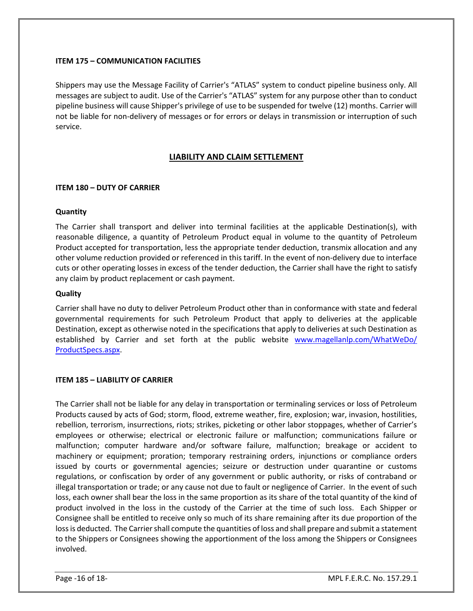#### **ITEM 175 – COMMUNICATION FACILITIES**

Shippers may use the Message Facility of Carrier's "ATLAS" system to conduct pipeline business only. All messages are subject to audit. Use of the Carrier's "ATLAS" system for any purpose other than to conduct pipeline business will cause Shipper's privilege of use to be suspended for twelve (12) months. Carrier will not be liable for non-delivery of messages or for errors or delays in transmission or interruption of such service.

#### **LIABILITY AND CLAIM SETTLEMENT**

#### **ITEM 180 – DUTY OF CARRIER**

#### **Quantity**

The Carrier shall transport and deliver into terminal facilities at the applicable Destination(s), with reasonable diligence, a quantity of Petroleum Product equal in volume to the quantity of Petroleum Product accepted for transportation, less the appropriate tender deduction, transmix allocation and any other volume reduction provided or referenced in this tariff. In the event of non-delivery due to interface cuts or other operating losses in excess of the tender deduction, the Carrier shall have the right to satisfy any claim by product replacement or cash payment.

#### **Quality**

Carrier shall have no duty to deliver Petroleum Product other than in conformance with state and federal governmental requirements for such Petroleum Product that apply to deliveries at the applicable Destination, except as otherwise noted in the specifications that apply to deliveries at such Destination as established by Carrier and set forth at the public website [www.magellanlp.com/WhatWeDo/](http://www.magellanlp.com/WhatWeDo/%20ProductSpecs.aspx)  [ProductSpecs.aspx.](http://www.magellanlp.com/WhatWeDo/%20ProductSpecs.aspx)

#### **ITEM 185 – LIABILITY OF CARRIER**

The Carrier shall not be liable for any delay in transportation or terminaling services or loss of Petroleum Products caused by acts of God; storm, flood, extreme weather, fire, explosion; war, invasion, hostilities, rebellion, terrorism, insurrections, riots; strikes, picketing or other labor stoppages, whether of Carrier's employees or otherwise; electrical or electronic failure or malfunction; communications failure or malfunction; computer hardware and/or software failure, malfunction; breakage or accident to machinery or equipment; proration; temporary restraining orders, injunctions or compliance orders issued by courts or governmental agencies; seizure or destruction under quarantine or customs regulations, or confiscation by order of any government or public authority, or risks of contraband or illegal transportation or trade; or any cause not due to fault or negligence of Carrier. In the event of such loss, each owner shall bear the loss in the same proportion as its share of the total quantity of the kind of product involved in the loss in the custody of the Carrier at the time of such loss. Each Shipper or Consignee shall be entitled to receive only so much of its share remaining after its due proportion of the loss is deducted. The Carrier shall compute the quantities of loss and shall prepare and submit a statement to the Shippers or Consignees showing the apportionment of the loss among the Shippers or Consignees involved.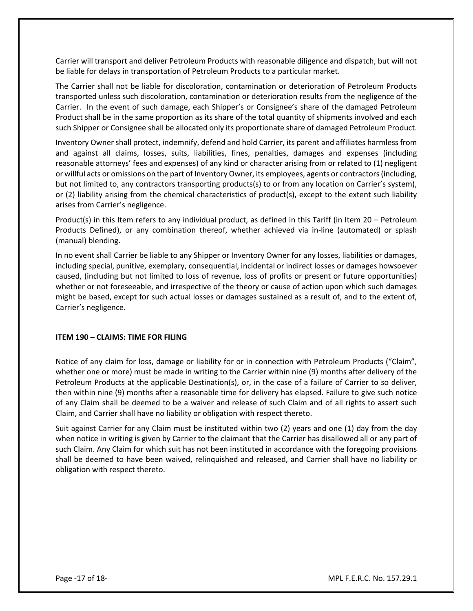Carrier will transport and deliver Petroleum Products with reasonable diligence and dispatch, but will not be liable for delays in transportation of Petroleum Products to a particular market.

The Carrier shall not be liable for discoloration, contamination or deterioration of Petroleum Products transported unless such discoloration, contamination or deterioration results from the negligence of the Carrier. In the event of such damage, each Shipper's or Consignee's share of the damaged Petroleum Product shall be in the same proportion as its share of the total quantity of shipments involved and each such Shipper or Consignee shall be allocated only its proportionate share of damaged Petroleum Product.

Inventory Owner shall protect, indemnify, defend and hold Carrier, its parent and affiliates harmless from and against all claims, losses, suits, liabilities, fines, penalties, damages and expenses (including reasonable attorneys' fees and expenses) of any kind or character arising from or related to (1) negligent or willful acts or omissions on the part of Inventory Owner, its employees, agents or contractors (including, but not limited to, any contractors transporting products(s) to or from any location on Carrier's system), or (2) liability arising from the chemical characteristics of product(s), except to the extent such liability arises from Carrier's negligence.

Product(s) in this Item refers to any individual product, as defined in this Tariff (in Item 20 – Petroleum Products Defined), or any combination thereof, whether achieved via in-line (automated) or splash (manual) blending.

In no event shall Carrier be liable to any Shipper or Inventory Owner for any losses, liabilities or damages, including special, punitive, exemplary, consequential, incidental or indirect losses or damages howsoever caused, (including but not limited to loss of revenue, loss of profits or present or future opportunities) whether or not foreseeable, and irrespective of the theory or cause of action upon which such damages might be based, except for such actual losses or damages sustained as a result of, and to the extent of, Carrier's negligence.

#### **ITEM 190 – CLAIMS: TIME FOR FILING**

Notice of any claim for loss, damage or liability for or in connection with Petroleum Products ("Claim", whether one or more) must be made in writing to the Carrier within nine (9) months after delivery of the Petroleum Products at the applicable Destination(s), or, in the case of a failure of Carrier to so deliver, then within nine (9) months after a reasonable time for delivery has elapsed. Failure to give such notice of any Claim shall be deemed to be a waiver and release of such Claim and of all rights to assert such Claim, and Carrier shall have no liability or obligation with respect thereto.

Suit against Carrier for any Claim must be instituted within two (2) years and one (1) day from the day when notice in writing is given by Carrier to the claimant that the Carrier has disallowed all or any part of such Claim. Any Claim for which suit has not been instituted in accordance with the foregoing provisions shall be deemed to have been waived, relinquished and released, and Carrier shall have no liability or obligation with respect thereto.